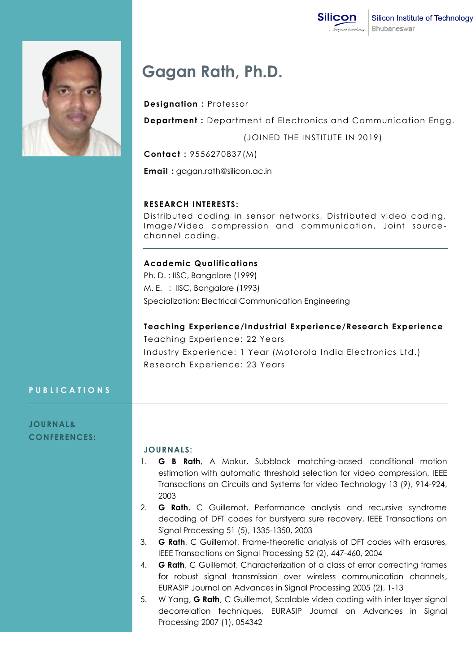

# **Gagan Rath, Ph.D.**

### **Designation :** Professor

**Department :** Department of Electronics and Communication Engg.

(JOINED THE INSTITUTE IN 2019)

**Contact :** 9556270837(M)

**Email :** gagan.rath@silicon.ac.in

#### **RESEARCH INTERESTS:**

Distributed coding in sensor networks, Distributed video coding, Image/Video compression and communication, Joint sourcechannel coding.

#### **Academic Qualifications**

Ph. D. : IISC, Bangalore (1999) M. E. : IISC, Bangalore (1993) Specialization: Electrical Communication Engineering

**Teaching Experience/Industrial Experience/Research Experience**

Teaching Experience: 22 Years Industry Experience: 1 Year (Motorola India Electronics Ltd.) Research Experience: 23 Years

#### **P U B L I C A T I O N S**

**JOURNAL& CONFERENCES:**

#### **JOURNALS:**

- 1. **G B Rath**, A Makur, Subblock matching-based conditional motion estimation with automatic threshold selection for video compression, IEEE Transactions on Circuits and Systems for video Technology 13 (9), 914-924, 2003
- 2. **G Rath**, C Guillemot, Performance analysis and recursive syndrome decoding of DFT codes for burstyera sure recovery, IEEE Transactions on Signal Processing 51 (5), 1335-1350, 2003
- 3. **G Rath**, C Guillemot, Frame-theoretic analysis of DFT codes with erasures, IEEE Transactions on Signal Processing 52 (2), 447-460, 2004
- 4. **G Rath**, C Guillemot, Characterization of a class of error correcting frames for robust signal transmission over wireless communication channels, EURASIP Journal on Advances in Signal Processing 2005 (2), 1-13
- 5. W Yang, **G Rath**, C Guillemot, Scalable video coding with inter layer signal decorrelation techniques, EURASIP Journal on Advances in Signal Processing 2007 (1), 054342